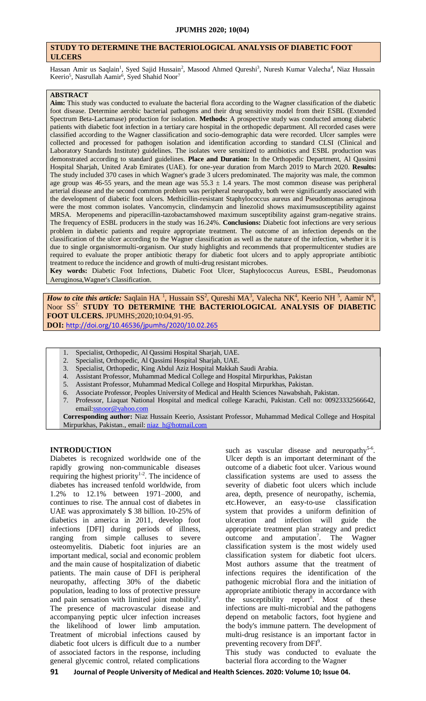### **STUDY TO DETERMINE THE BACTERIOLOGICAL ANALYSIS OF DIABETIC FOOT ULCERS**

Hassan Amir us Saqlain<sup>1</sup>, Syed Sajid Hussain<sup>2</sup>, Masood Ahmed Qureshi<sup>3</sup>, Nuresh Kumar Valecha<sup>4</sup>, Niaz Hussain Keerio<sup>5</sup>, Nasrullah Aamir<sup>6</sup>, Syed Shahid Noor<sup>7</sup>

#### **ABSTRACT**

**Aim:** This study was conducted to evaluate the bacterial flora according to the Wagner classification of the diabetic foot disease. Determine aerobic bacterial pathogens and their drug sensitivity model from their ESBL (Extended Spectrum Beta-Lactamase) production for isolation. **Methods:** A prospective study was conducted among diabetic patients with diabetic foot infection in a tertiary care hospital in the orthopedic department. All recorded cases were classified according to the Wagner classification and socio-demographic data were recorded. Ulcer samples were collected and processed for pathogen isolation and identification according to standard CLSI (Clinical and Laboratory Standards Institute) guidelines. The isolates were sensitized to antibiotics and ESBL production was demonstrated according to standard guidelines. **Place and Duration:** In the Orthopedic Department, Al Qassimi Hospital Sharjah, United Arab Emirates (UAE). for one-year duration from March 2019 to March 2020. **Results:** The study included 370 cases in which Wagner's grade 3 ulcers predominated. The majority was male, the common age group was 46-55 years, and the mean age was  $55.3 \pm 1.4$  years. The most common disease was peripheral arterial disease and the second common problem was peripheral neuropathy, both were significantly associated with the development of diabetic foot ulcers. Methicillin-resistant Staphylococcus aureus and Pseudomonas aeruginosa were the most common isolates. Vancomycin, clindamycin and linezolid shows maximumsusceptibility against MRSA. Meropenems and piperacillin-tazobactamshowed maximum susceptibility against gram-negative strains. The frequency of ESBL producers in the study was 16.24%. **Conclusions:** Diabetic foot infections are very serious problem in diabetic patients and require appropriate treatment. The outcome of an infection depends on the classification of the ulcer according to the Wagner classification as well as the nature of the infection, whether it is due to single organismormulti-organism. Our study highlights and recommends that propermulticenter studies are required to evaluate the proper antibiotic therapy for diabetic foot ulcers and to apply appropriate antibiotic treatment to reduce the incidence and growth of multi-drug resistant microbes.

**Key words:** Diabetic Foot Infections, Diabetic Foot Ulcer, Staphylococcus Aureus, ESBL, Pseudomonas Aeruginosa,Wagner's Classification.

*How to cite this article:* Saqlain HA<sup>1</sup>, Hussain SS<sup>2</sup>, Qureshi MA<sup>3</sup>, Valecha NK<sup>4</sup>, Keerio NH<sup>5</sup>, Aamir N<sup>6</sup>, Noor SS7. **STUDY TO DETERMINE THE BACTERIOLOGICAL ANALYSIS OF DIABETIC FOOT ULCERS.** JPUMHS;2020;10:04,91-95. **DOI:** <http://doi.org/10.46536/jpumhs/2020/10.02.265>

- 1. Specialist, Orthopedic, Al Qassimi Hospital Sharjah, UAE.
- 2. Specialist, Orthopedic, Al Qassimi Hospital Sharjah, UAE.
- 3. Specialist, Orthopedic, King Abdul Aziz Hospital Makkah Saudi Arabia.
- 4. Assistant Professor, Muhammad Medical College and Hospital Mirpurkhas, Pakistan
- 5. Assistant Professor, Muhammad Medical College and Hospital Mirpurkhas, Pakistan.
- 6. Associate Professor, Peoples University of Medical and Health Sciences Nawabshah, Pakistan.
- 7. Professor, Liaquat National Hospital and medical college Karachi, Pakistan. Cell no: 00923332566642, emai[l:ssnoor@yahoo.com](mailto:ssnoor@yahoo.com)

**Corresponding author:** Niaz Hussain Keerio, Assistant Professor, Muhammad Medical College and Hospital Mirpurkhas, Pakistan., email: [niaz\\_h@hotmail.com](mailto:niaz_h@hotmail.com)

### **INTRODUCTION**

Diabetes is recognized worldwide one of the rapidly growing non-communicable diseases requiring the highest priority $1-2$ . The incidence of diabetes has increased tenfold worldwide, from 1.2% to 12.1% between 1971–2000, and continues to rise. The annual cost of diabetes in UAE was approximately \$ 38 billion. 10-25% of diabetics in america in 2011, develop foot infections [DFI] during periods of illness, ranging from simple calluses to severe osteomyelitis. Diabetic foot injuries are an important medical, social and economic problem and the main cause of hospitalization of diabetic patients. The main cause of DFI is peripheral neuropathy, affecting 30% of the diabetic population, leading to loss of protective pressure and pain sensation with limited joint mobility $4$ . The presence of macrovascular disease and accompanying peptic ulcer infection increases the likelihood of lower limb amputation. Treatment of microbial infections caused by diabetic foot ulcers is difficult due to a number of associated factors in the response, including general glycemic control, related complications

such as vascular disease and neuropathy<sup>5-6</sup>. Ulcer depth is an important determinant of the outcome of a diabetic foot ulcer. Various wound classification systems are used to assess the severity of diabetic foot ulcers which include area, depth, presence of neuropathy, ischemia, etc.However, an easy-to-use classification system that provides a uniform definition of ulceration and infection will guide the appropriate treatment plan strategy and predict outcome and amputation<sup>7</sup>. The Wagner classification system is the most widely used classification system for diabetic foot ulcers. Most authors assume that the treatment of infections requires the identification of the pathogenic microbial flora and the initiation of appropriate antibiotic therapy in accordance with the susceptibility report<sup>8</sup>. Most of these infections are multi-microbial and the pathogens depend on metabolic factors, foot hygiene and the body's immune pattern. The development of multi-drug resistance is an important factor in preventing recovery from DFI<sup>9</sup>.

This study was conducted to evaluate the bacterial flora according to the Wagner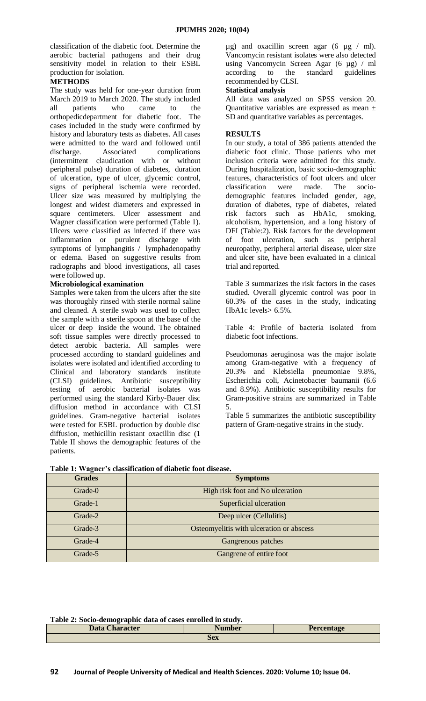classification of the diabetic foot. Determine the aerobic bacterial pathogens and their drug sensitivity model in relation to their ESBL production for isolation.

# **METHODS**

The study was held for one-year duration from March 2019 to March 2020. The study included all patients who came to the orthopedicdepartment for diabetic foot. The cases included in the study were confirmed by history and laboratory tests as diabetes. All cases were admitted to the ward and followed until discharge. Associated complications (intermittent claudication with or without peripheral pulse) duration of diabetes, duration of ulceration, type of ulcer, glycemic control, signs of peripheral ischemia were recorded. Ulcer size was measured by multiplying the longest and widest diameters and expressed in square centimeters. Ulcer assessment and Wagner classification were performed (Table 1). Ulcers were classified as infected if there was inflammation or purulent discharge with symptoms of lymphangitis / lymphadenopathy or edema. Based on suggestive results from radiographs and blood investigations, all cases were followed up.

# **Microbiological examination**

Samples were taken from the ulcers after the site was thoroughly rinsed with sterile normal saline and cleaned. A sterile swab was used to collect the sample with a sterile spoon at the base of the ulcer or deep inside the wound. The obtained soft tissue samples were directly processed to detect aerobic bacteria. All samples were processed according to standard guidelines and isolates were isolated and identified according to Clinical and laboratory standards institute (CLSI) guidelines. Antibiotic susceptibility testing of aerobic bacterial isolates was performed using the standard Kirby-Bauer disc diffusion method in accordance with CLSI guidelines. Gram-negative bacterial isolates were tested for ESBL production by double disc diffusion, methicillin resistant oxacillin disc (1 Table II shows the demographic features of the patients.

 $\mu$ g) and oxacillin screen agar (6  $\mu$ g / ml). Vancomycin resistant isolates were also detected using Vancomycin Screen Agar (6 µg) / ml according to the standard guidelines recommended by CLSI.

### **Statistical analysis**

All data was analyzed on SPSS version 20. Quantitative variables are expressed as mean ± SD and quantitative variables as percentages.

# **RESULTS**

In our study, a total of 386 patients attended the diabetic foot clinic. Those patients who met inclusion criteria were admitted for this study. During hospitalization, basic socio-demographic features, characteristics of foot ulcers and ulcer classification were made. The sociodemographic features included gender, age, duration of diabetes, type of diabetes, related risk factors such as HbA1c, smoking, alcoholism, hypertension, and a long history of DFI (Table:2). Risk factors for the development of foot ulceration, such as peripheral neuropathy, peripheral arterial disease, ulcer size and ulcer site, have been evaluated in a clinical trial and reported.

Table 3 summarizes the risk factors in the cases studied. Overall glycemic control was poor in 60.3% of the cases in the study, indicating HbA1c levels> 6.5%.

Table 4: Profile of bacteria isolated from diabetic foot infections.

Pseudomonas aeruginosa was the major isolate among Gram-negative with a frequency of 20.3% and Klebsiella pneumoniae 9.8%, Escherichia coli, Acinetobacter baumanii (6.6 and 8.9%). Antibiotic susceptibility results for Gram-positive strains are summarized in Table 5.

Table 5 summarizes the antibiotic susceptibility pattern of Gram-negative strains in the study.

| <b>Grades</b> | <b>Symptoms</b>                          |
|---------------|------------------------------------------|
| Grade-0       | High risk foot and No ulceration         |
| Grade-1       | Superficial ulceration                   |
| Grade-2       | Deep ulcer (Cellulitis)                  |
| Grade-3       | Osteomyelitis with ulceration or abscess |
| Grade-4       | Gangrenous patches                       |
| Grade-5       | Gangrene of entire foot                  |

### **Table 1: Wagner's classification of diabetic foot disease.**

| Table 2: Socio-demographic data of cases enrolled in study. |  |  |  |  |  |
|-------------------------------------------------------------|--|--|--|--|--|
| <b>Data Character</b><br><b>Number</b><br><b>Percentage</b> |  |  |  |  |  |
| <b>Sex</b>                                                  |  |  |  |  |  |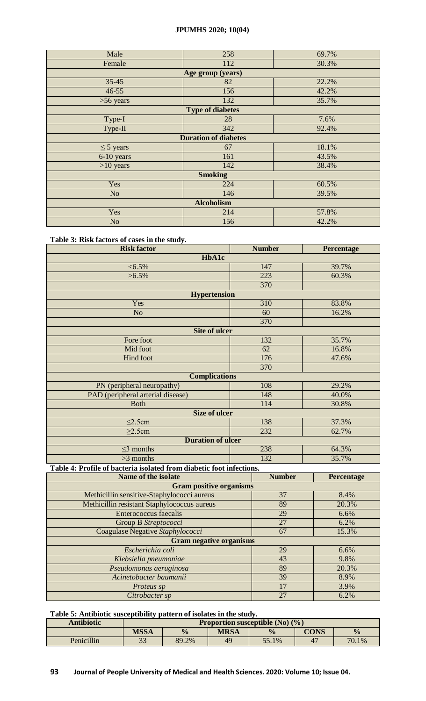# **JPUMHS 2020; 10(04)**

| Male                        | 258                     | 69.7% |  |  |  |
|-----------------------------|-------------------------|-------|--|--|--|
| Female                      | 112                     | 30.3% |  |  |  |
| Age group (years)           |                         |       |  |  |  |
| $35 - 45$                   | 82                      | 22.2% |  |  |  |
| $46 - 55$                   | 156                     | 42.2% |  |  |  |
| $>56$ years                 | 132                     | 35.7% |  |  |  |
|                             | <b>Type of diabetes</b> |       |  |  |  |
| Type-I                      | 28                      | 7.6%  |  |  |  |
| Type-II                     | 342                     | 92.4% |  |  |  |
| <b>Duration of diabetes</b> |                         |       |  |  |  |
| $\leq$ 5 years              | 67                      | 18.1% |  |  |  |
| 6-10 years                  | 161                     | 43.5% |  |  |  |
| $>10$ years                 | 142                     | 38.4% |  |  |  |
| <b>Smoking</b>              |                         |       |  |  |  |
| Yes                         | 224                     | 60.5% |  |  |  |
| N <sub>o</sub>              | 146                     | 39.5% |  |  |  |
| <b>Alcoholism</b>           |                         |       |  |  |  |
| Yes                         | 214                     | 57.8% |  |  |  |
| N <sub>o</sub>              | 156                     | 42.2% |  |  |  |

# **Table 3: Risk factors of cases in the study.**

| <b>Risk factor</b>                | <b>Number</b>       | Percentage |  |  |  |  |  |
|-----------------------------------|---------------------|------------|--|--|--|--|--|
| <b>HbA1c</b>                      |                     |            |  |  |  |  |  |
| $< 6.5\%$                         | 147                 | 39.7%      |  |  |  |  |  |
| $>6.5\%$                          | 223                 | 60.3%      |  |  |  |  |  |
|                                   | 370                 |            |  |  |  |  |  |
|                                   | <b>Hypertension</b> |            |  |  |  |  |  |
| Yes                               | 310                 | 83.8%      |  |  |  |  |  |
| N <sub>o</sub>                    | 60                  | 16.2%      |  |  |  |  |  |
|                                   | 370                 |            |  |  |  |  |  |
| <b>Site of ulcer</b>              |                     |            |  |  |  |  |  |
| Fore foot                         | 132                 | 35.7%      |  |  |  |  |  |
| Mid foot                          | 62                  | 16.8%      |  |  |  |  |  |
| Hind foot                         | 176                 | 47.6%      |  |  |  |  |  |
|                                   | 370                 |            |  |  |  |  |  |
| <b>Complications</b>              |                     |            |  |  |  |  |  |
| PN (peripheral neuropathy)        | 108                 | 29.2%      |  |  |  |  |  |
| PAD (peripheral arterial disease) | 148                 | 40.0%      |  |  |  |  |  |
| <b>Both</b>                       | 114                 | 30.8%      |  |  |  |  |  |
| <b>Size of ulcer</b>              |                     |            |  |  |  |  |  |
| $\leq$ 2.5cm                      | 138                 | 37.3%      |  |  |  |  |  |
| $\geq$ 2.5cm                      | 232                 | 62.7%      |  |  |  |  |  |
| <b>Duration of ulcer</b>          |                     |            |  |  |  |  |  |
| $\leq$ 3 months                   | 238                 | 64.3%      |  |  |  |  |  |
| $>3$ months                       | 132                 | 35.7%      |  |  |  |  |  |

# **Table 4: Profile of bacteria isolated from diabetic foot infections.**

| Name of the isolate                         | <b>Number</b> | Percentage |  |  |  |
|---------------------------------------------|---------------|------------|--|--|--|
| <b>Gram positive organisms</b>              |               |            |  |  |  |
| Methicillin sensitive-Staphylococci aureus  | 37            | 8.4%       |  |  |  |
| Methicillin resistant Staphylococcus aureus | 89            | 20.3%      |  |  |  |
| Enterococcus faecalis                       | 29            | 6.6%       |  |  |  |
| Group B Streptococci                        | 27            | 6.2%       |  |  |  |
| Coagulase Negative Staphylococci            | 67            | 15.3%      |  |  |  |
| <b>Gram negative organisms</b>              |               |            |  |  |  |
| Escherichia coli                            | 29            | 6.6%       |  |  |  |
| Klebsiella pneumoniae                       | 43            | 9.8%       |  |  |  |
| Pseudomonas aeruginosa                      | 89            | 20.3%      |  |  |  |
| Acinetobacter baumanii                      | 39            | 8.9%       |  |  |  |
| Proteus sp                                  | 17            | 3.9%       |  |  |  |
| Citrobacter sp                              | 27            | 6.2%       |  |  |  |

# **Table 5: Antibiotic susceptibility pattern of isolates in the study.**

| <b>Antibiotic</b> | <b>Proportion susceptible (No) <math>(\%)</math></b> |               |             |               |             |               |
|-------------------|------------------------------------------------------|---------------|-------------|---------------|-------------|---------------|
|                   | <b>MSSA</b>                                          | $\frac{0}{0}$ | <b>MRSA</b> | $\frac{0}{0}$ | <b>CONS</b> | $\frac{1}{2}$ |
| Penicillin        | $\Omega$<br>JJ                                       | 89.2%         | 49          | 55.1%         | $\Delta$    | 70.1%         |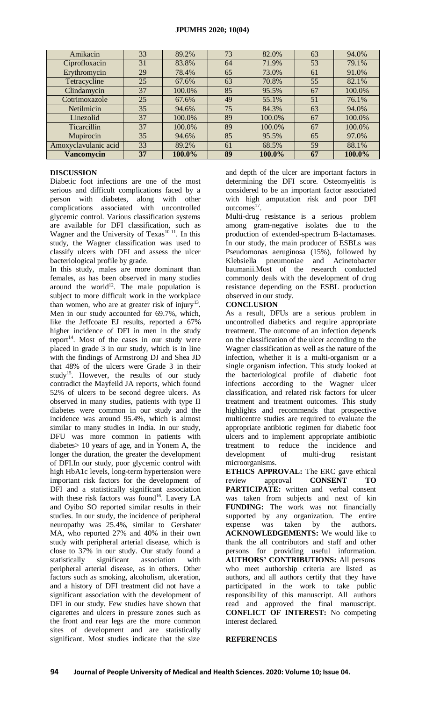| Amikacin             | 33 | 89.2%  | 73 | 82.0%  | 63 | 94.0%  |
|----------------------|----|--------|----|--------|----|--------|
| Ciprofloxacin        | 31 | 83.8%  | 64 | 71.9%  | 53 | 79.1%  |
| Erythromycin         | 29 | 78.4%  | 65 | 73.0%  | 61 | 91.0%  |
| Tetracycline         | 25 | 67.6%  | 63 | 70.8%  | 55 | 82.1%  |
| Clindamycin          | 37 | 100.0% | 85 | 95.5%  | 67 | 100.0% |
| Cotrimoxazole        | 25 | 67.6%  | 49 | 55.1%  | 51 | 76.1%  |
| Netilmicin           | 35 | 94.6%  | 75 | 84.3%  | 63 | 94.0%  |
| Linezolid            | 37 | 100.0% | 89 | 100.0% | 67 | 100.0% |
| <b>Ticarcillin</b>   | 37 | 100.0% | 89 | 100.0% | 67 | 100.0% |
| Mupirocin            | 35 | 94.6%  | 85 | 95.5%  | 65 | 97.0%  |
| Amoxyclavulanic acid | 33 | 89.2%  | 61 | 68.5%  | 59 | 88.1%  |
| <b>Vancomycin</b>    | 37 | 100.0% | 89 | 100.0% | 67 | 100.0% |

### **DISCUSSION**

Diabetic foot infections are one of the most serious and difficult complications faced by a person with diabetes, along with other complications associated with uncontrolled glycemic control. Various classification systems are available for DFI classification, such as Wagner and the University of Texas<sup>10-11</sup>. In this study, the Wagner classification was used to classify ulcers with DFI and assess the ulcer bacteriological profile by grade.

In this study, males are more dominant than females, as has been observed in many studies around the world<sup>12</sup>. The male population is subject to more difficult work in the workplace than women, who are at greater risk of injury<sup>13</sup>. Men in our study accounted for 69.7%, which, like the Jeffcoate EJ results, reported a 67% higher incidence of DFI in men in the study report<sup>14</sup>. Most of the cases in our study were placed in grade 3 in our study, which is in line with the findings of Armstrong DJ and Shea JD that 48% of the ulcers were Grade 3 in their study<sup>15</sup>. However, the results of our study contradict the Mayfeild JA reports, which found 52% of ulcers to be second degree ulcers. As observed in many studies, patients with type II diabetes were common in our study and the incidence was around 95.4%, which is almost similar to many studies in India. In our study, DFU was more common in patients with diabetes> 10 years of age, and in Yonem A, the longer the duration, the greater the development of DFI.In our study, poor glycemic control with high HbA1c levels, long-term hypertension were important risk factors for the development of DFI and a statistically significant association with these risk factors was found<sup>16</sup>. Lavery LA and Oyibo SO reported similar results in their studies. In our study, the incidence of peripheral neuropathy was 25.4%, similar to Gershater MA, who reported 27% and 40% in their own study with peripheral arterial disease, which is close to 37% in our study. Our study found a statistically significant association with peripheral arterial disease, as in others. Other factors such as smoking, alcoholism, ulceration, and a history of DFI treatment did not have a significant association with the development of DFI in our study. Few studies have shown that cigarettes and ulcers in pressure zones such as the front and rear legs are the more common sites of development and are statistically significant. Most studies indicate that the size

and depth of the ulcer are important factors in determining the DFI score. Osteomyelitis is considered to be an important factor associated with high amputation risk and poor DFI outcomes<sup>17</sup>.

Multi-drug resistance is a serious problem among gram-negative isolates due to the production of extended-spectrum B-lactamases. In our study, the main producer of ESBLs was Pseudomonas aeruginosa (15%), followed by Klebsiella pneumoniae and Acinetobacter baumanii.Most of the research conducted commonly deals with the development of drug resistance depending on the ESBL production observed in our study.

### **CONCLUSION**

As a result, DFUs are a serious problem in uncontrolled diabetics and require appropriate treatment. The outcome of an infection depends on the classification of the ulcer according to the Wagner classification as well as the nature of the infection, whether it is a multi-organism or a single organism infection. This study looked at the bacteriological profile of diabetic foot infections according to the Wagner ulcer classification, and related risk factors for ulcer treatment and treatment outcomes. This study highlights and recommends that prospective multicentre studies are required to evaluate the appropriate antibiotic regimen for diabetic foot ulcers and to implement appropriate antibiotic treatment to reduce the incidence and development of multi-drug resistant microorganisms.

**ETHICS APPROVAL:** The ERC gave ethical review approval **CONSENT TO PARTICIPATE:** written and verbal consent was taken from subjects and next of kin **FUNDING:** The work was not financially supported by any organization. The entire expense was taken by the authors**. ACKNOWLEDGEMENTS:** We would like to thank the all contributors and staff and other persons for providing useful information. **AUTHORS' CONTRIBUTIONS:** All persons who meet authorship criteria are listed as authors, and all authors certify that they have participated in the work to take public responsibility of this manuscript. All authors read and approved the final manuscript. **CONFLICT OF INTEREST:** No competing interest declared.

### **REFERENCES**